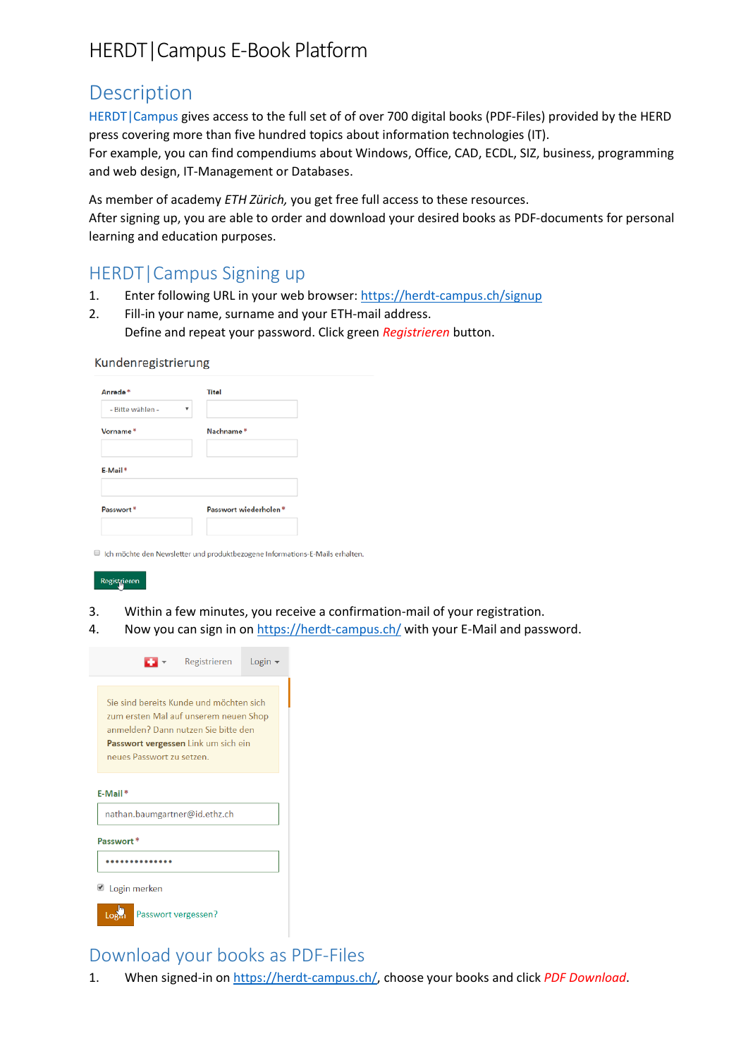# HERDT|Campus E-Book Platform

# Description

[HERDT|Campus](https://herdt-campus.ch/) gives access to the full set of of over 700 digital books (PDF-Files) provided by the HERD press covering more than five hundred topics about information technologies (IT).

For example, you can find compendiums about Windows, Office, CAD, ECDL, SIZ, business, programming and web design, IT-Management or Databases.

As member of academy *ETH Zürich,* you get free full access to these resources.

After signing up, you are able to order and download your desired books as PDF-documents for personal learning and education purposes.

# HERDT|Campus Signing up

- 1. Enter following URL in your web browser: <https://herdt-campus.ch/signup>
- 2. Fill-in your name, surname and your ETH-mail address. Define and repeat your password. Click green *Registrieren* button.

#### Kundenregistrierung

| Anrede*          | <b>Titel</b>          |
|------------------|-----------------------|
| - Bitte wählen - | ۰                     |
| Vorname*         | Nachname*             |
|                  |                       |
| E-Mail*          |                       |
| Passwort*        | Passwort wiederholen* |
|                  |                       |

II Ich möchte den Newsletter und produktbezogene Informations-E-Mails erhalten.

#### Registrieren

- 3. Within a few minutes, you receive a confirmation-mail of your registration.
- 4. Now you can sign in on<https://herdt-campus.ch/> with your E-Mail and password.

|                                                                                                                                                                                             | $\bullet$ Registrieren Login $\bullet$ |  |  |  |
|---------------------------------------------------------------------------------------------------------------------------------------------------------------------------------------------|----------------------------------------|--|--|--|
| Sie sind bereits Kunde und möchten sich<br>zum ersten Mal auf unserem neuen Shop<br>anmelden? Dann nutzen Sie bitte den<br>Passwort vergessen Link um sich ein<br>neues Passwort zu setzen. |                                        |  |  |  |
| $E-Mail*$<br>nathan.baumgartner@id.ethz.ch                                                                                                                                                  |                                        |  |  |  |
| Passwort*                                                                                                                                                                                   |                                        |  |  |  |
|                                                                                                                                                                                             |                                        |  |  |  |
| Login merken                                                                                                                                                                                |                                        |  |  |  |
| Passwort vergessen?                                                                                                                                                                         |                                        |  |  |  |

## Download your books as PDF-Files

1. When signed-in on [https://herdt-campus.ch/,](https://herdt-campus.ch/) choose your books and click *PDF Download*.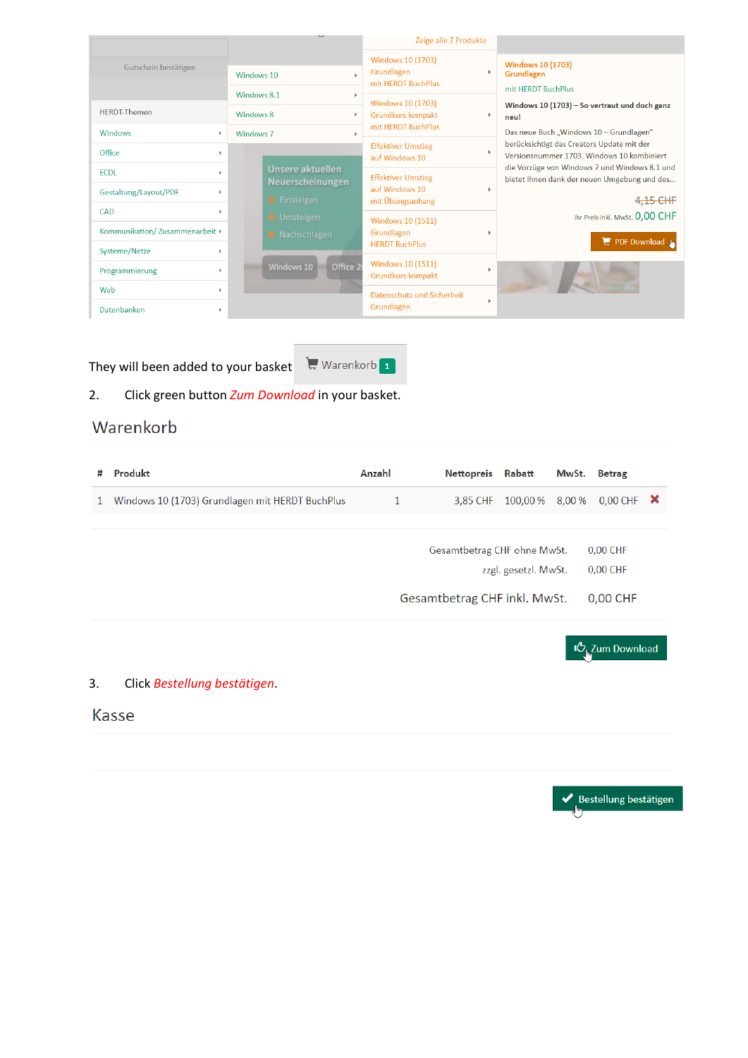|                                       |                                                    | Zeige alle 7 Produkte                                                       |                                                                                               |
|---------------------------------------|----------------------------------------------------|-----------------------------------------------------------------------------|-----------------------------------------------------------------------------------------------|
| Gutschein bestätigen                  | Windows 10<br>Windows 8.1                          | Windows 10 (1703)<br>Grundlagen<br>mit HERDT BuchPlus                       | <b>Windows 10 (1703)</b><br>Grundlagen<br>mit HERDT BuchPlus                                  |
| <b>HFRDT-Themen</b>                   | Windows 8                                          | Windows 10 (1703)<br>Grundkurs kompakt<br>$\mathbf b$<br>mit HERDT BuchPlus | Windows 10 (1703) - So vertraut und doch ganz<br>٠<br>neu!                                    |
| <b>Windows</b><br>$\mathbf b$         | Windows <sub>7</sub>                               |                                                                             | Das neue Buch "Windows 10 - Grundlagen"<br>berücksichtigt das Creators Update mit der         |
| Office<br>$\mathbf{b}$                |                                                    | <b>Effektiver Umstieg</b><br>auf Windows 10                                 | $\blacktriangleright$<br>Versionsnummer 1703. Windows 10 kombiniert                           |
| <b>ECDL</b><br>$\mathbf{h}$           | <b>Unsere aktuellen</b><br><b>Neuerscheinungen</b> | <b>Effektiver Umstieg</b>                                                   | die Vorzüge von Windows 7 und Windows 8.1 und<br>bietet Ihnen dank der neuen Umgebung und des |
| Gestaltung/Layout/PDF<br>$\mathbf{h}$ | Einsteigen                                         | auf Windows 10<br>mit Übungsanhang                                          | $\blacktriangleright$<br>4,15 CHF                                                             |
| CAD<br>$\mathbf{b}$                   | Umsteigen                                          | Windows 10 (1511)                                                           | Ihr Preis inkl. MwSt. 0,00 CHF                                                                |
| Kommunikation/Zusammenarbeit >        | Nachschlagen                                       | Grundlagen                                                                  | PDF Download                                                                                  |
| Systeme/Netze                         |                                                    | <b>HERDT BuchPlus</b>                                                       |                                                                                               |
| Programmierung<br>$\mathbf b$         | Office 2<br>Windows 10                             | Windows 10 (1511)<br>Grundkurs kompakt                                      | ٠                                                                                             |
| Web<br>$\mathbb{R}$                   |                                                    | Datenschutz und Sicherheit                                                  |                                                                                               |
| Datenbanken                           |                                                    | Grundlagen                                                                  |                                                                                               |

They will been added to your basket  $\mathbb{R}$  Warenkorb **1** 

## 2. Click green button *Zum Download* in your basket.

# Warenkorb

| # | Produkt                                         | Anzahl       | Nettopreis Rabatt            |                      | MwSt. Betrag |                        |  |
|---|-------------------------------------------------|--------------|------------------------------|----------------------|--------------|------------------------|--|
| 1 | Windows 10 (1703) Grundlagen mit HERDT BuchPlus | $\mathbf{1}$ | 3,85 CHF                     | 100.00 % 8.00 %      |              | 0.00 CHF $\mathsf{X}$  |  |
|   |                                                 |              |                              |                      |              |                        |  |
|   |                                                 |              | Gesamtbetrag CHF ohne MwSt.  |                      |              | 0,00 CHF               |  |
|   |                                                 |              |                              | zzgl. gesetzl. MwSt. |              | 0,00 CHF               |  |
|   |                                                 |              | Gesamtbetrag CHF inkl. MwSt. |                      |              | 0,00 CHF               |  |
|   |                                                 |              |                              |                      |              |                        |  |
|   |                                                 |              |                              |                      |              | <b>IC</b> Zum Download |  |

### 3. Click *Bestellung bestätigen*.

## Kasse